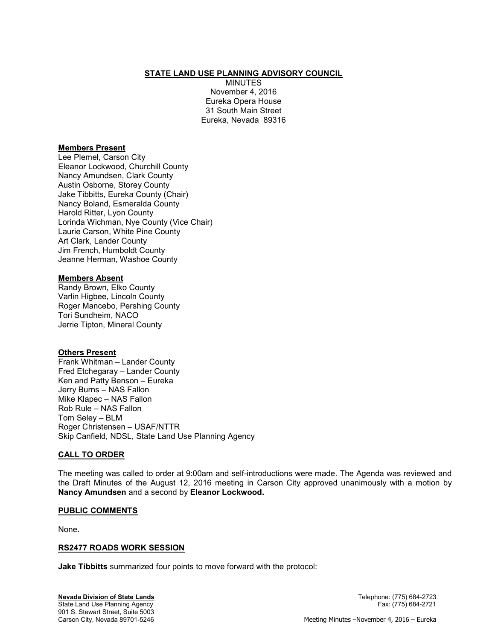## STATE LAND USE PLANNING ADVISORY COUNCIL

MINUTES November 4, 2016 Eureka Opera House 31 South Main Street Eureka, Nevada 89316

#### Members Present

Lee Plemel, Carson City Eleanor Lockwood, Churchill County Nancy Amundsen, Clark County Austin Osborne, Storey County Jake Tibbitts, Eureka County (Chair) Nancy Boland, Esmeralda County Harold Ritter, Lyon County Lorinda Wichman, Nye County (Vice Chair) Laurie Carson, White Pine County Art Clark, Lander County Jim French, Humboldt County Jeanne Herman, Washoe County

#### Members Absent

Randy Brown, Elko County Varlin Higbee, Lincoln County Roger Mancebo, Pershing County Tori Sundheim, NACO Jerrie Tipton, Mineral County

### Others Present

Frank Whitman – Lander County Fred Etchegaray – Lander County Ken and Patty Benson – Eureka Jerry Burns – NAS Fallon Mike Klapec – NAS Fallon Rob Rule – NAS Fallon Tom Seley – BLM Roger Christensen – USAF/NTTR Skip Canfield, NDSL, State Land Use Planning Agency

### CALL TO ORDER

The meeting was called to order at 9:00am and self-introductions were made. The Agenda was reviewed and the Draft Minutes of the August 12, 2016 meeting in Carson City approved unanimously with a motion by Nancy Amundsen and a second by Eleanor Lockwood.

#### PUBLIC COMMENTS

None.

### RS2477 ROADS WORK SESSION

Jake Tibbitts summarized four points to move forward with the protocol: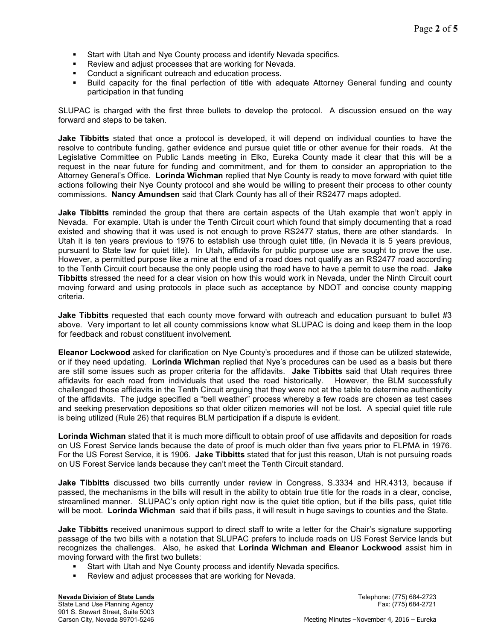- **Start with Utah and Nye County process and identify Nevada specifics.**
- Review and adjust processes that are working for Nevada.
- Conduct a significant outreach and education process.
- Build capacity for the final perfection of title with adequate Attorney General funding and county participation in that funding

SLUPAC is charged with the first three bullets to develop the protocol. A discussion ensued on the way forward and steps to be taken.

Jake Tibbitts stated that once a protocol is developed, it will depend on individual counties to have the resolve to contribute funding, gather evidence and pursue quiet title or other avenue for their roads. At the Legislative Committee on Public Lands meeting in Elko, Eureka County made it clear that this will be a request in the near future for funding and commitment, and for them to consider an appropriation to the Attorney General's Office. Lorinda Wichman replied that Nye County is ready to move forward with quiet title actions following their Nye County protocol and she would be willing to present their process to other county commissions. Nancy Amundsen said that Clark County has all of their RS2477 maps adopted.

Jake Tibbitts reminded the group that there are certain aspects of the Utah example that won't apply in Nevada. For example. Utah is under the Tenth Circuit court which found that simply documenting that a road existed and showing that it was used is not enough to prove RS2477 status, there are other standards. In Utah it is ten years previous to 1976 to establish use through quiet title, (in Nevada it is 5 years previous, pursuant to State law for quiet title). In Utah, affidavits for public purpose use are sought to prove the use. However, a permitted purpose like a mine at the end of a road does not qualify as an RS2477 road according to the Tenth Circuit court because the only people using the road have to have a permit to use the road. Jake Tibbitts stressed the need for a clear vision on how this would work in Nevada, under the Ninth Circuit court moving forward and using protocols in place such as acceptance by NDOT and concise county mapping criteria.

**Jake Tibbitts** requested that each county move forward with outreach and education pursuant to bullet #3 above. Very important to let all county commissions know what SLUPAC is doing and keep them in the loop for feedback and robust constituent involvement.

Eleanor Lockwood asked for clarification on Nye County's procedures and if those can be utilized statewide, or if they need updating. Lorinda Wichman replied that Nye's procedures can be used as a basis but there are still some issues such as proper criteria for the affidavits. Jake Tibbitts said that Utah requires three affidavits for each road from individuals that used the road historically. However, the BLM successfully challenged those affidavits in the Tenth Circuit arguing that they were not at the table to determine authenticity of the affidavits. The judge specified a "bell weather" process whereby a few roads are chosen as test cases and seeking preservation depositions so that older citizen memories will not be lost. A special quiet title rule is being utilized (Rule 26) that requires BLM participation if a dispute is evident.

Lorinda Wichman stated that it is much more difficult to obtain proof of use affidavits and deposition for roads on US Forest Service lands because the date of proof is much older than five years prior to FLPMA in 1976. For the US Forest Service, it is 1906. Jake Tibbitts stated that for just this reason, Utah is not pursuing roads on US Forest Service lands because they can't meet the Tenth Circuit standard.

**Jake Tibbitts** discussed two bills currently under review in Congress, S.3334 and HR.4313, because if passed, the mechanisms in the bills will result in the ability to obtain true title for the roads in a clear, concise, streamlined manner. SLUPAC's only option right now is the quiet title option, but if the bills pass, quiet title will be moot. Lorinda Wichman said that if bills pass, it will result in huge savings to counties and the State.

Jake Tibbitts received unanimous support to direct staff to write a letter for the Chair's signature supporting passage of the two bills with a notation that SLUPAC prefers to include roads on US Forest Service lands but recognizes the challenges. Also, he asked that Lorinda Wichman and Eleanor Lockwood assist him in moving forward with the first two bullets:

- Start with Utah and Nye County process and identify Nevada specifics.
- Review and adjust processes that are working for Nevada.

Nevada Division of State Lands Telephone: (775) 684-2723 State Land Use Planning Agency Fax: (775) 684-2721 901 S. Stewart Street, Suite 5003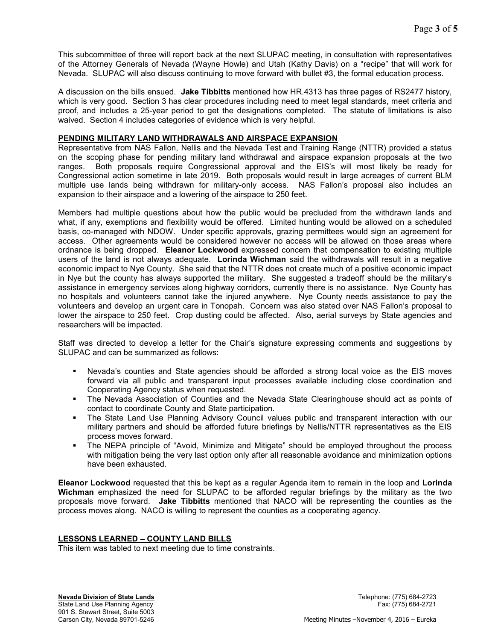This subcommittee of three will report back at the next SLUPAC meeting, in consultation with representatives of the Attorney Generals of Nevada (Wayne Howle) and Utah (Kathy Davis) on a "recipe" that will work for Nevada. SLUPAC will also discuss continuing to move forward with bullet #3, the formal education process.

A discussion on the bills ensued. Jake Tibbitts mentioned how HR.4313 has three pages of RS2477 history, which is very good. Section 3 has clear procedures including need to meet legal standards, meet criteria and proof, and includes a 25-year period to get the designations completed. The statute of limitations is also waived. Section 4 includes categories of evidence which is very helpful.

### PENDING MILITARY LAND WITHDRAWALS AND AIRSPACE EXPANSION

Representative from NAS Fallon, Nellis and the Nevada Test and Training Range (NTTR) provided a status on the scoping phase for pending military land withdrawal and airspace expansion proposals at the two ranges. Both proposals require Congressional approval and the EIS's will most likely be ready for Congressional action sometime in late 2019. Both proposals would result in large acreages of current BLM multiple use lands being withdrawn for military-only access. NAS Fallon's proposal also includes an expansion to their airspace and a lowering of the airspace to 250 feet.

Members had multiple questions about how the public would be precluded from the withdrawn lands and what, if any, exemptions and flexibility would be offered. Limited hunting would be allowed on a scheduled basis, co-managed with NDOW. Under specific approvals, grazing permittees would sign an agreement for access. Other agreements would be considered however no access will be allowed on those areas where ordnance is being dropped. Eleanor Lockwood expressed concern that compensation to existing multiple users of the land is not always adequate. Lorinda Wichman said the withdrawals will result in a negative economic impact to Nye County. She said that the NTTR does not create much of a positive economic impact in Nye but the county has always supported the military. She suggested a tradeoff should be the military's assistance in emergency services along highway corridors, currently there is no assistance. Nye County has no hospitals and volunteers cannot take the injured anywhere. Nye County needs assistance to pay the volunteers and develop an urgent care in Tonopah. Concern was also stated over NAS Fallon's proposal to lower the airspace to 250 feet. Crop dusting could be affected. Also, aerial surveys by State agencies and researchers will be impacted.

Staff was directed to develop a letter for the Chair's signature expressing comments and suggestions by SLUPAC and can be summarized as follows:

- Nevada's counties and State agencies should be afforded a strong local voice as the EIS moves forward via all public and transparent input processes available including close coordination and Cooperating Agency status when requested.
- The Nevada Association of Counties and the Nevada State Clearinghouse should act as points of contact to coordinate County and State participation.
- The State Land Use Planning Advisory Council values public and transparent interaction with our military partners and should be afforded future briefings by Nellis/NTTR representatives as the EIS process moves forward.
- The NEPA principle of "Avoid, Minimize and Mitigate" should be employed throughout the process with mitigation being the very last option only after all reasonable avoidance and minimization options have been exhausted.

Eleanor Lockwood requested that this be kept as a regular Agenda item to remain in the loop and Lorinda Wichman emphasized the need for SLUPAC to be afforded regular briefings by the military as the two proposals move forward. Jake Tibbitts mentioned that NACO will be representing the counties as the process moves along. NACO is willing to represent the counties as a cooperating agency.

# LESSONS LEARNED – COUNTY LAND BILLS

This item was tabled to next meeting due to time constraints.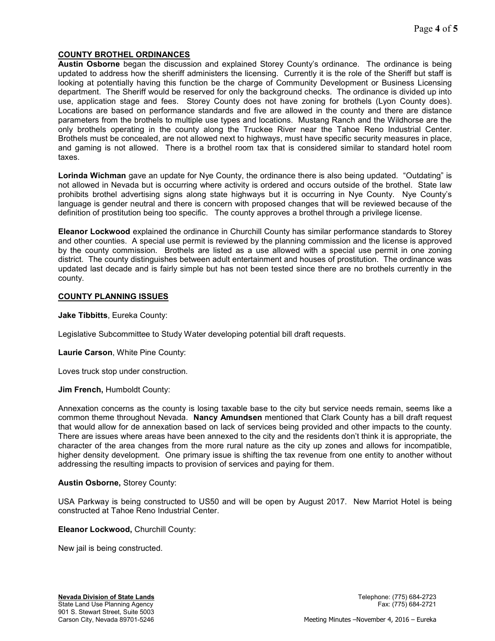# COUNTY BROTHEL ORDINANCES

Austin Osborne began the discussion and explained Storey County's ordinance. The ordinance is being updated to address how the sheriff administers the licensing. Currently it is the role of the Sheriff but staff is looking at potentially having this function be the charge of Community Development or Business Licensing department. The Sheriff would be reserved for only the background checks. The ordinance is divided up into use, application stage and fees. Storey County does not have zoning for brothels (Lyon County does). Locations are based on performance standards and five are allowed in the county and there are distance parameters from the brothels to multiple use types and locations. Mustang Ranch and the Wildhorse are the only brothels operating in the county along the Truckee River near the Tahoe Reno Industrial Center. Brothels must be concealed, are not allowed next to highways, must have specific security measures in place, and gaming is not allowed. There is a brothel room tax that is considered similar to standard hotel room taxes.

Lorinda Wichman gave an update for Nye County, the ordinance there is also being updated. "Outdating" is not allowed in Nevada but is occurring where activity is ordered and occurs outside of the brothel. State law prohibits brothel advertising signs along state highways but it is occurring in Nye County. Nye County's language is gender neutral and there is concern with proposed changes that will be reviewed because of the definition of prostitution being too specific. The county approves a brothel through a privilege license.

Eleanor Lockwood explained the ordinance in Churchill County has similar performance standards to Storey and other counties. A special use permit is reviewed by the planning commission and the license is approved by the county commission. Brothels are listed as a use allowed with a special use permit in one zoning district. The county distinguishes between adult entertainment and houses of prostitution. The ordinance was updated last decade and is fairly simple but has not been tested since there are no brothels currently in the county.

### COUNTY PLANNING ISSUES

Jake Tibbitts, Eureka County:

Legislative Subcommittee to Study Water developing potential bill draft requests.

Laurie Carson, White Pine County:

Loves truck stop under construction.

Jim French, Humboldt County:

Annexation concerns as the county is losing taxable base to the city but service needs remain, seems like a common theme throughout Nevada. Nancy Amundsen mentioned that Clark County has a bill draft request that would allow for de annexation based on lack of services being provided and other impacts to the county. There are issues where areas have been annexed to the city and the residents don't think it is appropriate, the character of the area changes from the more rural nature as the city up zones and allows for incompatible, higher density development. One primary issue is shifting the tax revenue from one entity to another without addressing the resulting impacts to provision of services and paying for them.

### Austin Osborne, Storey County:

USA Parkway is being constructed to US50 and will be open by August 2017. New Marriot Hotel is being constructed at Tahoe Reno Industrial Center.

#### Eleanor Lockwood, Churchill County:

New jail is being constructed.